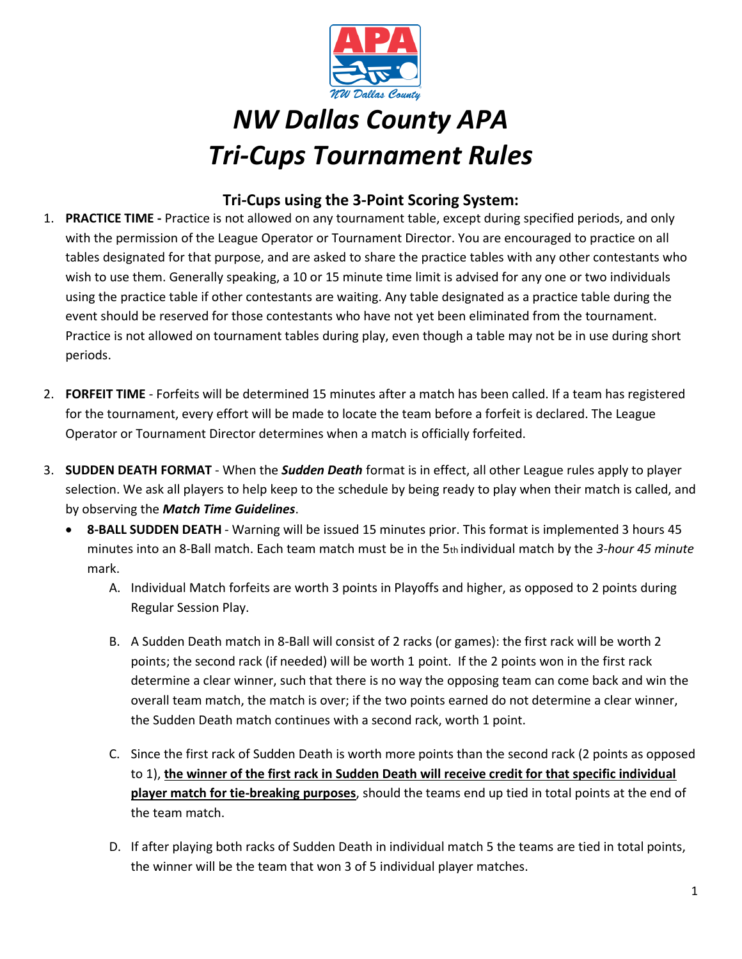

## *NW Dallas County APA Tri-Cups Tournament Rules*

## **Tri-Cups using the 3-Point Scoring System:**

- 1. **PRACTICE TIME ‐** Practice is not allowed on any tournament table, except during specified periods, and only with the permission of the League Operator or Tournament Director. You are encouraged to practice on all tables designated for that purpose, and are asked to share the practice tables with any other contestants who wish to use them. Generally speaking, a 10 or 15 minute time limit is advised for any one or two individuals using the practice table if other contestants are waiting. Any table designated as a practice table during the event should be reserved for those contestants who have not yet been eliminated from the tournament. Practice is not allowed on tournament tables during play, even though a table may not be in use during short periods.
- 2. **FORFEIT TIME** ‐ Forfeits will be determined 15 minutes after a match has been called. If a team has registered for the tournament, every effort will be made to locate the team before a forfeit is declared. The League Operator or Tournament Director determines when a match is officially forfeited.
- 3. **SUDDEN DEATH FORMAT** ‐ When the *Sudden Death* format is in effect, all other League rules apply to player selection. We ask all players to help keep to the schedule by being ready to play when their match is called, and by observing the *Match Time Guidelines*.
	- **8‐BALL SUDDEN DEATH** ‐ Warning will be issued 15 minutes prior. This format is implemented 3 hours 45 minutes into an 8‐Ball match. Each team match must be in the 5th individual match by the *3‐hour 45 minute* mark.
		- A. Individual Match forfeits are worth 3 points in Playoffs and higher, as opposed to 2 points during Regular Session Play.
		- B. A Sudden Death match in 8-Ball will consist of 2 racks (or games): the first rack will be worth 2 points; the second rack (if needed) will be worth 1 point. If the 2 points won in the first rack determine a clear winner, such that there is no way the opposing team can come back and win the overall team match, the match is over; if the two points earned do not determine a clear winner, the Sudden Death match continues with a second rack, worth 1 point.
		- C. Since the first rack of Sudden Death is worth more points than the second rack (2 points as opposed to 1), **the winner of the first rack in Sudden Death will receive credit for that specific individual player match for tie-breaking purposes**, should the teams end up tied in total points at the end of the team match.
		- D. If after playing both racks of Sudden Death in individual match 5 the teams are tied in total points, the winner will be the team that won 3 of 5 individual player matches.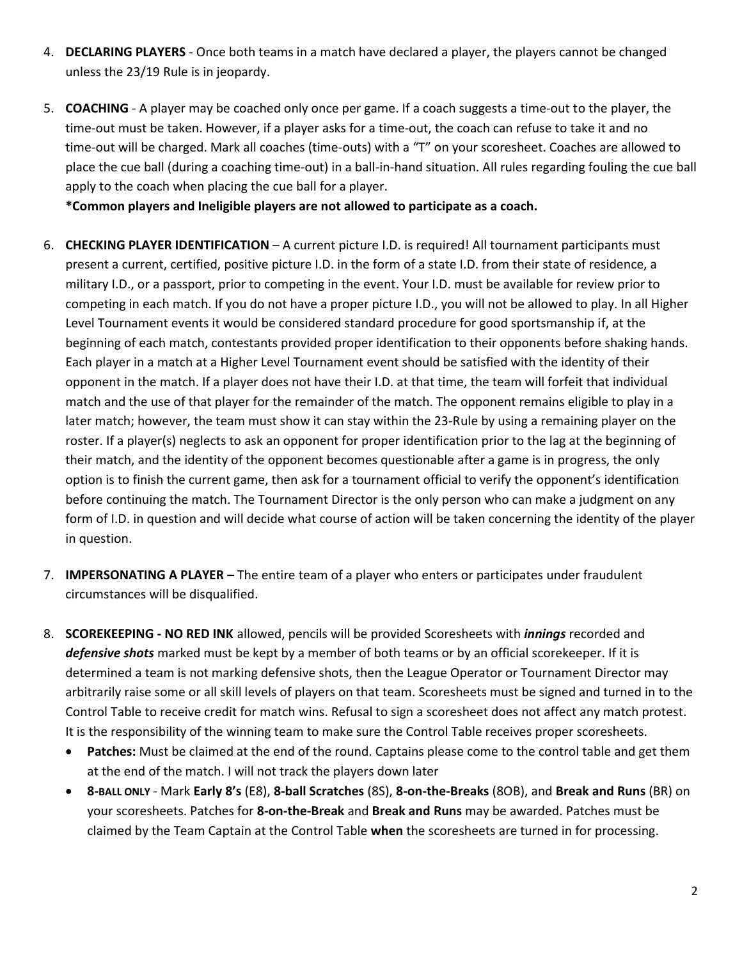- 4. **DECLARING PLAYERS** ‐ Once both teams in a match have declared a player, the players cannot be changed unless the 23/19 Rule is in jeopardy.
- 5. **COACHING** A player may be coached only once per game. If a coach suggests a time-out to the player, the time‐out must be taken. However, if a player asks for a time‐out, the coach can refuse to take it and no time-out will be charged. Mark all coaches (time-outs) with a "T" on your scoresheet. Coaches are allowed to place the cue ball (during a coaching time‐out) in a ball‐in‐hand situation. All rules regarding fouling the cue ball apply to the coach when placing the cue ball for a player.

**\*Common players and Ineligible players are not allowed to participate as a coach.** 

- 6. **CHECKING PLAYER IDENTIFICATION**  A current picture I.D. is required! All tournament participants must present a current, certified, positive picture I.D. in the form of a state I.D. from their state of residence, a military I.D., or a passport, prior to competing in the event. Your I.D. must be available for review prior to competing in each match. If you do not have a proper picture I.D., you will not be allowed to play. In all Higher Level Tournament events it would be considered standard procedure for good sportsmanship if, at the beginning of each match, contestants provided proper identification to their opponents before shaking hands. Each player in a match at a Higher Level Tournament event should be satisfied with the identity of their opponent in the match. If a player does not have their I.D. at that time, the team will forfeit that individual match and the use of that player for the remainder of the match. The opponent remains eligible to play in a later match; however, the team must show it can stay within the 23‐Rule by using a remaining player on the roster. If a player(s) neglects to ask an opponent for proper identification prior to the lag at the beginning of their match, and the identity of the opponent becomes questionable after a game is in progress, the only option is to finish the current game, then ask for a tournament official to verify the opponent's identification before continuing the match. The Tournament Director is the only person who can make a judgment on any form of I.D. in question and will decide what course of action will be taken concerning the identity of the player in question.
- 7. **IMPERSONATING A PLAYER –** The entire team of a player who enters or participates under fraudulent circumstances will be disqualified.
- 8. **SCOREKEEPING ‐ NO RED INK** allowed, pencils will be provided Scoresheets with *innings* recorded and *defensive shots* marked must be kept by a member of both teams or by an official scorekeeper. If it is determined a team is not marking defensive shots, then the League Operator or Tournament Director may arbitrarily raise some or all skill levels of players on that team. Scoresheets must be signed and turned in to the Control Table to receive credit for match wins. Refusal to sign a scoresheet does not affect any match protest. It is the responsibility of the winning team to make sure the Control Table receives proper scoresheets.
	- **Patches:** Must be claimed at the end of the round. Captains please come to the control table and get them at the end of the match. I will not track the players down later
	- **8‐BALL ONLY** ‐ Mark **Early 8's** (E8), **8‐ball Scratches** (8S), **8‐on‐the‐Breaks** (8OB), and **Break and Runs** (BR) on your scoresheets. Patches for **8‐on‐the‐Break** and **Break and Runs** may be awarded. Patches must be claimed by the Team Captain at the Control Table **when** the scoresheets are turned in for processing.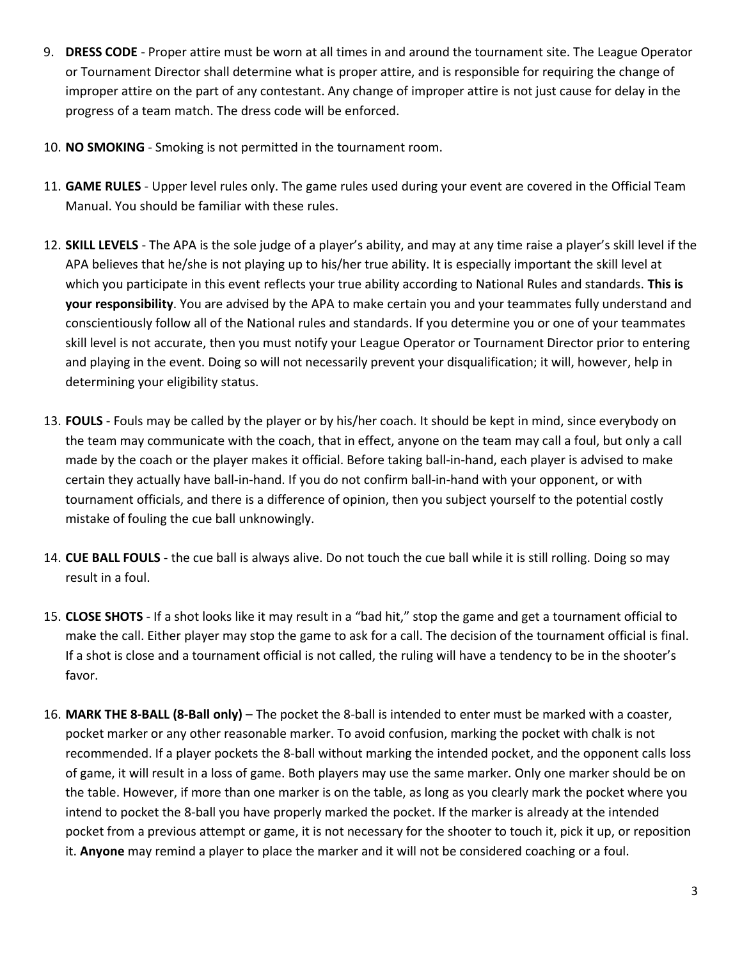- 9. **DRESS CODE** ‐ Proper attire must be worn at all times in and around the tournament site. The League Operator or Tournament Director shall determine what is proper attire, and is responsible for requiring the change of improper attire on the part of any contestant. Any change of improper attire is not just cause for delay in the progress of a team match. The dress code will be enforced.
- 10. **NO SMOKING** ‐ Smoking is not permitted in the tournament room.
- 11. **GAME RULES** ‐ Upper level rules only. The game rules used during your event are covered in the Official Team Manual. You should be familiar with these rules.
- 12. **SKILL LEVELS** ‐ The APA is the sole judge of a player's ability, and may at any time raise a player's skill level if the APA believes that he/she is not playing up to his/her true ability. It is especially important the skill level at which you participate in this event reflects your true ability according to National Rules and standards. **This is your responsibility**. You are advised by the APA to make certain you and your teammates fully understand and conscientiously follow all of the National rules and standards. If you determine you or one of your teammates skill level is not accurate, then you must notify your League Operator or Tournament Director prior to entering and playing in the event. Doing so will not necessarily prevent your disqualification; it will, however, help in determining your eligibility status.
- 13. **FOULS** ‐ Fouls may be called by the player or by his/her coach. It should be kept in mind, since everybody on the team may communicate with the coach, that in effect, anyone on the team may call a foul, but only a call made by the coach or the player makes it official. Before taking ball‐in‐hand, each player is advised to make certain they actually have ball‐in‐hand. If you do not confirm ball‐in‐hand with your opponent, or with tournament officials, and there is a difference of opinion, then you subject yourself to the potential costly mistake of fouling the cue ball unknowingly.
- 14. **CUE BALL FOULS** ‐ the cue ball is always alive. Do not touch the cue ball while it is still rolling. Doing so may result in a foul.
- 15. **CLOSE SHOTS** ‐ If a shot looks like it may result in a "bad hit," stop the game and get a tournament official to make the call. Either player may stop the game to ask for a call. The decision of the tournament official is final. If a shot is close and a tournament official is not called, the ruling will have a tendency to be in the shooter's favor.
- 16. **MARK THE 8‐BALL (8‐Ball only)**  The pocket the 8‐ball is intended to enter must be marked with a coaster, pocket marker or any other reasonable marker. To avoid confusion, marking the pocket with chalk is not recommended. If a player pockets the 8‐ball without marking the intended pocket, and the opponent calls loss of game, it will result in a loss of game. Both players may use the same marker. Only one marker should be on the table. However, if more than one marker is on the table, as long as you clearly mark the pocket where you intend to pocket the 8‐ball you have properly marked the pocket. If the marker is already at the intended pocket from a previous attempt or game, it is not necessary for the shooter to touch it, pick it up, or reposition it. **Anyone** may remind a player to place the marker and it will not be considered coaching or a foul.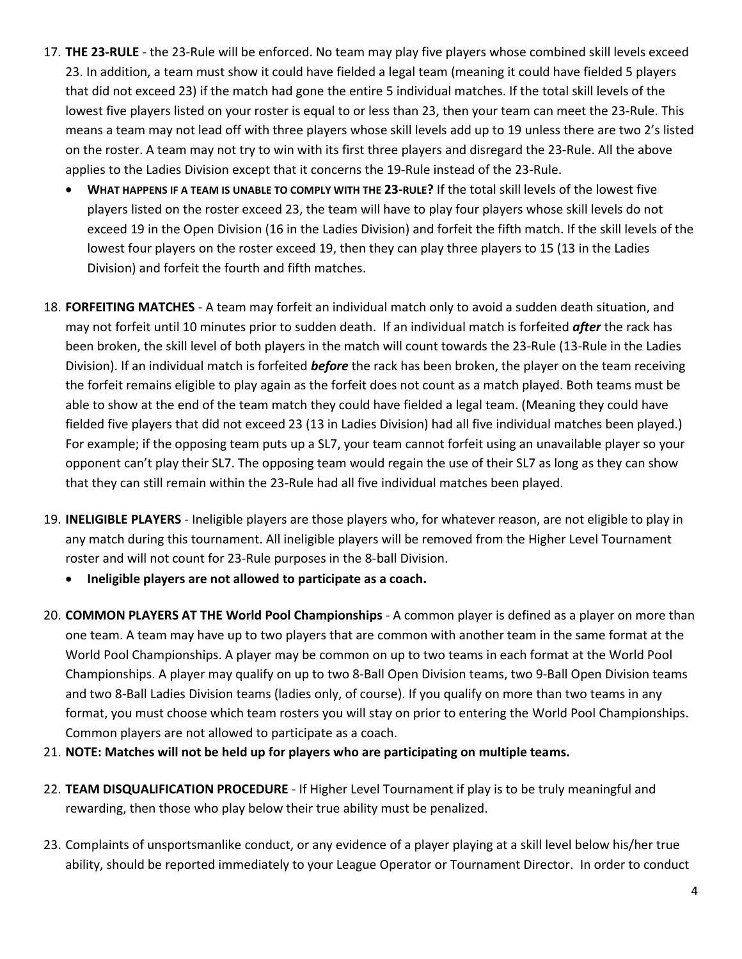- 17. **THE 23‐RULE** ‐ the 23‐Rule will be enforced. No team may play five players whose combined skill levels exceed 23. In addition, a team must show it could have fielded a legal team (meaning it could have fielded 5 players that did not exceed 23) if the match had gone the entire 5 individual matches. If the total skill levels of the lowest five players listed on your roster is equal to or less than 23, then your team can meet the 23‐Rule. This means a team may not lead off with three players whose skill levels add up to 19 unless there are two 2's listed on the roster. A team may not try to win with its first three players and disregard the 23‐Rule. All the above applies to the Ladies Division except that it concerns the 19‐Rule instead of the 23‐Rule.
	- **WHAT HAPPENS IF A TEAM IS UNABLE TO COMPLY WITH THE 23‐RULE?** If the total skill levels of the lowest five players listed on the roster exceed 23, the team will have to play four players whose skill levels do not exceed 19 in the Open Division (16 in the Ladies Division) and forfeit the fifth match. If the skill levels of the lowest four players on the roster exceed 19, then they can play three players to 15 (13 in the Ladies Division) and forfeit the fourth and fifth matches.
- 18. **FORFEITING MATCHES** ‐ A team may forfeit an individual match only to avoid a sudden death situation, and may not forfeit until 10 minutes prior to sudden death. If an individual match is forfeited *after* the rack has been broken, the skill level of both players in the match will count towards the 23‐Rule (13‐Rule in the Ladies Division). If an individual match is forfeited *before* the rack has been broken, the player on the team receiving the forfeit remains eligible to play again as the forfeit does not count as a match played. Both teams must be able to show at the end of the team match they could have fielded a legal team. (Meaning they could have fielded five players that did not exceed 23 (13 in Ladies Division) had all five individual matches been played.) For example; if the opposing team puts up a SL7, your team cannot forfeit using an unavailable player so your opponent can't play their SL7. The opposing team would regain the use of their SL7 as long as they can show that they can still remain within the 23‐Rule had all five individual matches been played.
- 19. **INELIGIBLE PLAYERS** ‐ Ineligible players are those players who, for whatever reason, are not eligible to play in any match during this tournament. All ineligible players will be removed from the Higher Level Tournament roster and will not count for 23‐Rule purposes in the 8‐ball Division.
	- **Ineligible players are not allowed to participate as a coach.**
- 20. **COMMON PLAYERS AT THE World Pool Championships** ‐ A common player is defined as a player on more than one team. A team may have up to two players that are common with another team in the same format at the World Pool Championships. A player may be common on up to two teams in each format at the World Pool Championships. A player may qualify on up to two 8‐Ball Open Division teams, two 9‐Ball Open Division teams and two 8‐Ball Ladies Division teams (ladies only, of course). If you qualify on more than two teams in any format, you must choose which team rosters you will stay on prior to entering the World Pool Championships. Common players are not allowed to participate as a coach.
- 21. **NOTE: Matches will not be held up for players who are participating on multiple teams.**
- 22. **TEAM DISQUALIFICATION PROCEDURE** ‐ If Higher Level Tournament if play is to be truly meaningful and rewarding, then those who play below their true ability must be penalized.
- 23. Complaints of unsportsmanlike conduct, or any evidence of a player playing at a skill level below his/her true ability, should be reported immediately to your League Operator or Tournament Director. In order to conduct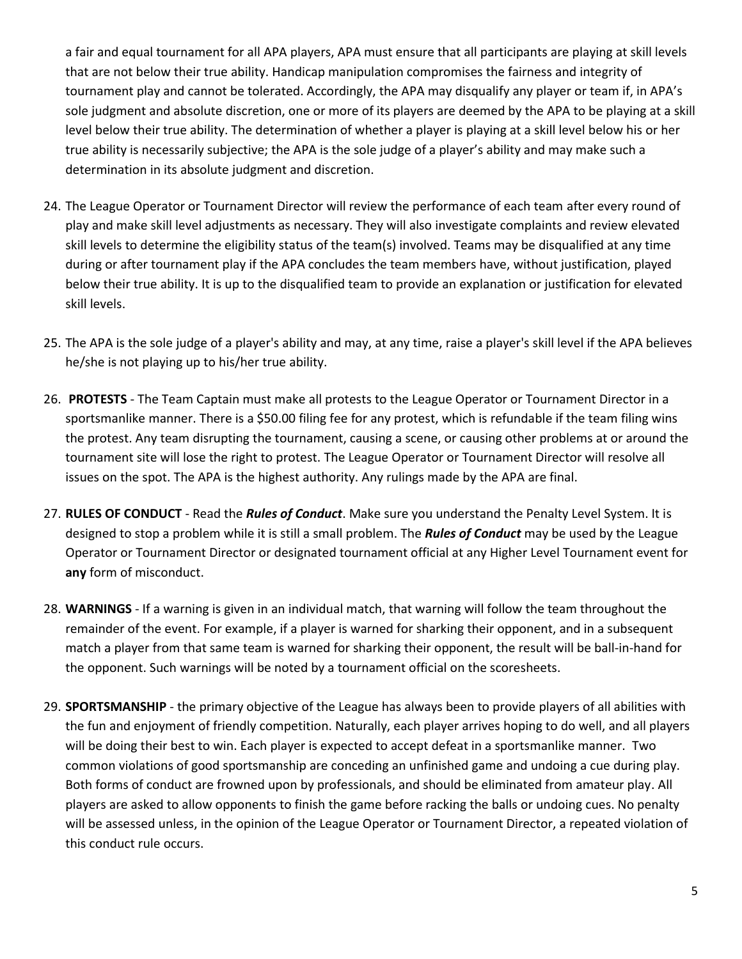a fair and equal tournament for all APA players, APA must ensure that all participants are playing at skill levels that are not below their true ability. Handicap manipulation compromises the fairness and integrity of tournament play and cannot be tolerated. Accordingly, the APA may disqualify any player or team if, in APA's sole judgment and absolute discretion, one or more of its players are deemed by the APA to be playing at a skill level below their true ability. The determination of whether a player is playing at a skill level below his or her true ability is necessarily subjective; the APA is the sole judge of a player's ability and may make such a determination in its absolute judgment and discretion.

- 24. The League Operator or Tournament Director will review the performance of each team after every round of play and make skill level adjustments as necessary. They will also investigate complaints and review elevated skill levels to determine the eligibility status of the team(s) involved. Teams may be disqualified at any time during or after tournament play if the APA concludes the team members have, without justification, played below their true ability. It is up to the disqualified team to provide an explanation or justification for elevated skill levels.
- 25. The APA is the sole judge of a player's ability and may, at any time, raise a player's skill level if the APA believes he/she is not playing up to his/her true ability.
- 26. **PROTESTS** ‐ The Team Captain must make all protests to the League Operator or Tournament Director in a sportsmanlike manner. There is a \$50.00 filing fee for any protest, which is refundable if the team filing wins the protest. Any team disrupting the tournament, causing a scene, or causing other problems at or around the tournament site will lose the right to protest. The League Operator or Tournament Director will resolve all issues on the spot. The APA is the highest authority. Any rulings made by the APA are final.
- 27. **RULES OF CONDUCT** ‐ Read the *Rules of Conduct*. Make sure you understand the Penalty Level System. It is designed to stop a problem while it is still a small problem. The *Rules of Conduct* may be used by the League Operator or Tournament Director or designated tournament official at any Higher Level Tournament event for **any** form of misconduct.
- 28. **WARNINGS** ‐ If a warning is given in an individual match, that warning will follow the team throughout the remainder of the event. For example, if a player is warned for sharking their opponent, and in a subsequent match a player from that same team is warned for sharking their opponent, the result will be ball‐in‐hand for the opponent. Such warnings will be noted by a tournament official on the scoresheets.
- 29. **SPORTSMANSHIP** ‐ the primary objective of the League has always been to provide players of all abilities with the fun and enjoyment of friendly competition. Naturally, each player arrives hoping to do well, and all players will be doing their best to win. Each player is expected to accept defeat in a sportsmanlike manner. Two common violations of good sportsmanship are conceding an unfinished game and undoing a cue during play. Both forms of conduct are frowned upon by professionals, and should be eliminated from amateur play. All players are asked to allow opponents to finish the game before racking the balls or undoing cues. No penalty will be assessed unless, in the opinion of the League Operator or Tournament Director, a repeated violation of this conduct rule occurs.